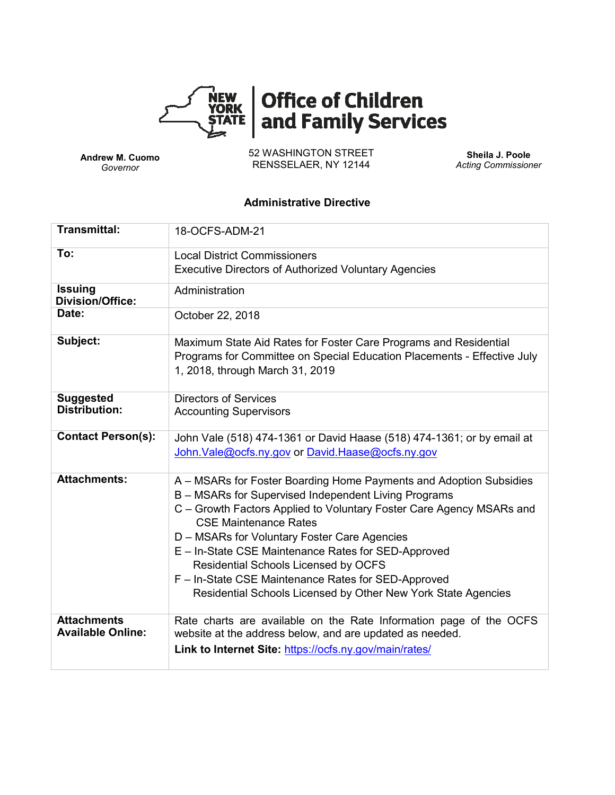

# Office of Children<br>and Family Services

**Andrew M. Cuomo** *Governor*

52 WASHINGTON STREET RENSSELAER, NY 12144

**Sheila J. Poole** *Acting Commissioner*

### **Administrative Directive**

| <b>Transmittal:</b>                            | 18-OCFS-ADM-21                                                                                                                                                                                                                                                                                                                                                                                                                                                                                            |  |  |  |  |
|------------------------------------------------|-----------------------------------------------------------------------------------------------------------------------------------------------------------------------------------------------------------------------------------------------------------------------------------------------------------------------------------------------------------------------------------------------------------------------------------------------------------------------------------------------------------|--|--|--|--|
| To:                                            | <b>Local District Commissioners</b>                                                                                                                                                                                                                                                                                                                                                                                                                                                                       |  |  |  |  |
|                                                | <b>Executive Directors of Authorized Voluntary Agencies</b>                                                                                                                                                                                                                                                                                                                                                                                                                                               |  |  |  |  |
| <b>Issuing</b><br><b>Division/Office:</b>      | Administration                                                                                                                                                                                                                                                                                                                                                                                                                                                                                            |  |  |  |  |
| Date:                                          | October 22, 2018                                                                                                                                                                                                                                                                                                                                                                                                                                                                                          |  |  |  |  |
| Subject:                                       | Maximum State Aid Rates for Foster Care Programs and Residential<br>Programs for Committee on Special Education Placements - Effective July<br>1, 2018, through March 31, 2019                                                                                                                                                                                                                                                                                                                            |  |  |  |  |
| <b>Suggested</b><br><b>Distribution:</b>       | <b>Directors of Services</b><br><b>Accounting Supervisors</b>                                                                                                                                                                                                                                                                                                                                                                                                                                             |  |  |  |  |
| <b>Contact Person(s):</b>                      | John Vale (518) 474-1361 or David Haase (518) 474-1361; or by email at<br>John. Vale@ocfs.ny.gov or David. Haase@ocfs.ny.gov                                                                                                                                                                                                                                                                                                                                                                              |  |  |  |  |
| <b>Attachments:</b>                            | A – MSARs for Foster Boarding Home Payments and Adoption Subsidies<br>B - MSARs for Supervised Independent Living Programs<br>C - Growth Factors Applied to Voluntary Foster Care Agency MSARs and<br><b>CSE Maintenance Rates</b><br>D – MSARs for Voluntary Foster Care Agencies<br>E - In-State CSE Maintenance Rates for SED-Approved<br>Residential Schools Licensed by OCFS<br>F - In-State CSE Maintenance Rates for SED-Approved<br>Residential Schools Licensed by Other New York State Agencies |  |  |  |  |
| <b>Attachments</b><br><b>Available Online:</b> | Rate charts are available on the Rate Information page of the OCFS<br>website at the address below, and are updated as needed.<br>Link to Internet Site: https://ocfs.ny.gov/main/rates/                                                                                                                                                                                                                                                                                                                  |  |  |  |  |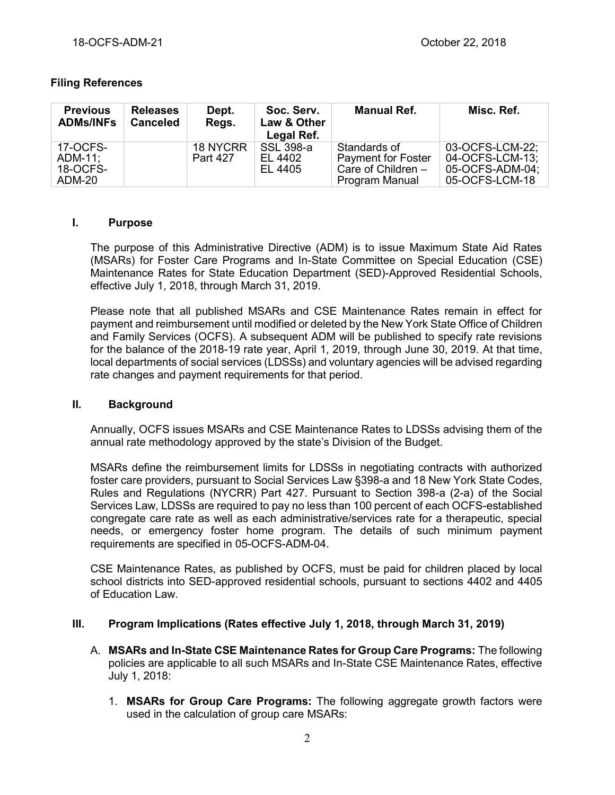# **Filing References**

| <b>Previous</b><br><b>ADMs/INFs</b>       | <b>Releases</b><br><b>Canceled</b> | Dept.<br>Regs.                     | Soc. Serv.<br>Law & Other<br>Legal Ref. | <b>Manual Ref.</b>                                                                | Misc. Ref.                                                              |
|-------------------------------------------|------------------------------------|------------------------------------|-----------------------------------------|-----------------------------------------------------------------------------------|-------------------------------------------------------------------------|
| 17-OCFS-<br>ADM-11:<br>18-OCFS-<br>ADM-20 |                                    | <b>18 NYCRR</b><br><b>Part 427</b> | SSL 398-a<br>EL 4402<br>EL 4405         | Standards of<br><b>Payment for Foster</b><br>Care of Children -<br>Program Manual | 03-OCFS-LCM-22:<br>04-OCFS-LCM-13;<br>05-OCFS-ADM-04:<br>05-OCFS-LCM-18 |

# **I. Purpose**

The purpose of this Administrative Directive (ADM) is to issue Maximum State Aid Rates (MSARs) for Foster Care Programs and In-State Committee on Special Education (CSE) Maintenance Rates for State Education Department (SED)-Approved Residential Schools, effective July 1, 2018, through March 31, 2019.

Please note that all published MSARs and CSE Maintenance Rates remain in effect for payment and reimbursement until modified or deleted by the New York State Office of Children and Family Services (OCFS). A subsequent ADM will be published to specify rate revisions for the balance of the 2018-19 rate year, April 1, 2019, through June 30, 2019. At that time, local departments of social services (LDSSs) and voluntary agencies will be advised regarding rate changes and payment requirements for that period.

## **II. Background**

Annually, OCFS issues MSARs and CSE Maintenance Rates to LDSSs advising them of the annual rate methodology approved by the state's Division of the Budget.

MSARs define the reimbursement limits for LDSSs in negotiating contracts with authorized foster care providers, pursuant to Social Services Law §398-a and 18 New York State Codes, Rules and Regulations (NYCRR) Part 427. Pursuant to Section 398-a (2-a) of the Social Services Law, LDSSs are required to pay no less than 100 percent of each OCFS-established congregate care rate as well as each administrative/services rate for a therapeutic, special needs, or emergency foster home program. The details of such minimum payment requirements are specified in 05-OCFS-ADM-04.

CSE Maintenance Rates, as published by OCFS, must be paid for children placed by local school districts into SED-approved residential schools, pursuant to sections 4402 and 4405 of Education Law.

# **III. Program Implications (Rates effective July 1, 2018, through March 31, 2019)**

- A. **MSARs and In-State CSE Maintenance Rates for Group Care Programs:** The following policies are applicable to all such MSARs and In-State CSE Maintenance Rates, effective July 1, 2018:
	- 1. **MSARs for Group Care Programs:** The following aggregate growth factors were used in the calculation of group care MSARs: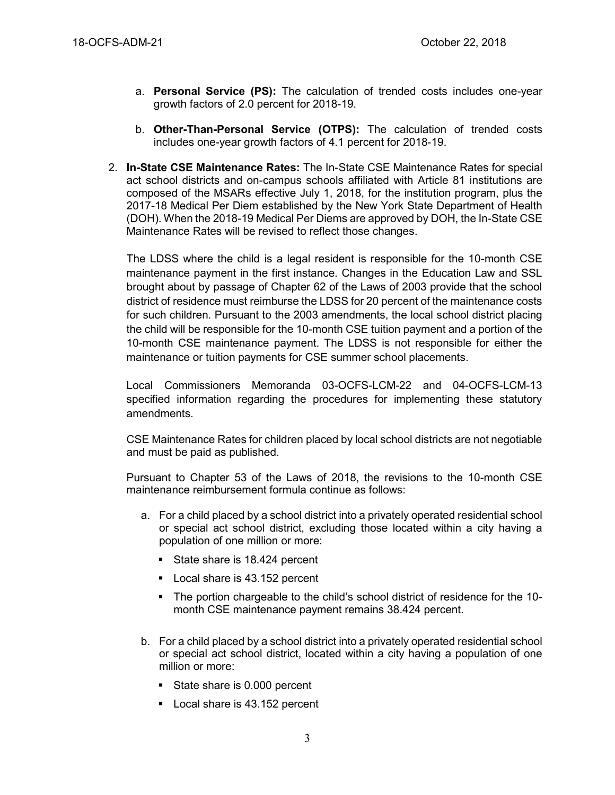- a. **Personal Service (PS):** The calculation of trended costs includes one-year growth factors of 2.0 percent for 2018-19.
- b. **Other-Than-Personal Service (OTPS):** The calculation of trended costs includes one-year growth factors of 4.1 percent for 2018-19.
- 2. **In-State CSE Maintenance Rates:** The In-State CSE Maintenance Rates for special act school districts and on-campus schools affiliated with Article 81 institutions are composed of the MSARs effective July 1, 2018, for the institution program, plus the 2017-18 Medical Per Diem established by the New York State Department of Health (DOH). When the 2018-19 Medical Per Diems are approved by DOH, the In-State CSE Maintenance Rates will be revised to reflect those changes.

The LDSS where the child is a legal resident is responsible for the 10-month CSE maintenance payment in the first instance. Changes in the Education Law and SSL brought about by passage of Chapter 62 of the Laws of 2003 provide that the school district of residence must reimburse the LDSS for 20 percent of the maintenance costs for such children. Pursuant to the 2003 amendments, the local school district placing the child will be responsible for the 10-month CSE tuition payment and a portion of the 10-month CSE maintenance payment. The LDSS is not responsible for either the maintenance or tuition payments for CSE summer school placements.

Local Commissioners Memoranda 03-OCFS-LCM-22 and 04-OCFS-LCM-13 specified information regarding the procedures for implementing these statutory amendments.

CSE Maintenance Rates for children placed by local school districts are not negotiable and must be paid as published.

Pursuant to Chapter 53 of the Laws of 2018, the revisions to the 10-month CSE maintenance reimbursement formula continue as follows:

- a. For a child placed by a school district into a privately operated residential school or special act school district, excluding those located within a city having a population of one million or more:
	- State share is 18.424 percent
	- Local share is 43.152 percent
	- The portion chargeable to the child's school district of residence for the 10 month CSE maintenance payment remains 38.424 percent.
- b. For a child placed by a school district into a privately operated residential school or special act school district, located within a city having a population of one million or more:
	- State share is 0.000 percent
	- Local share is 43.152 percent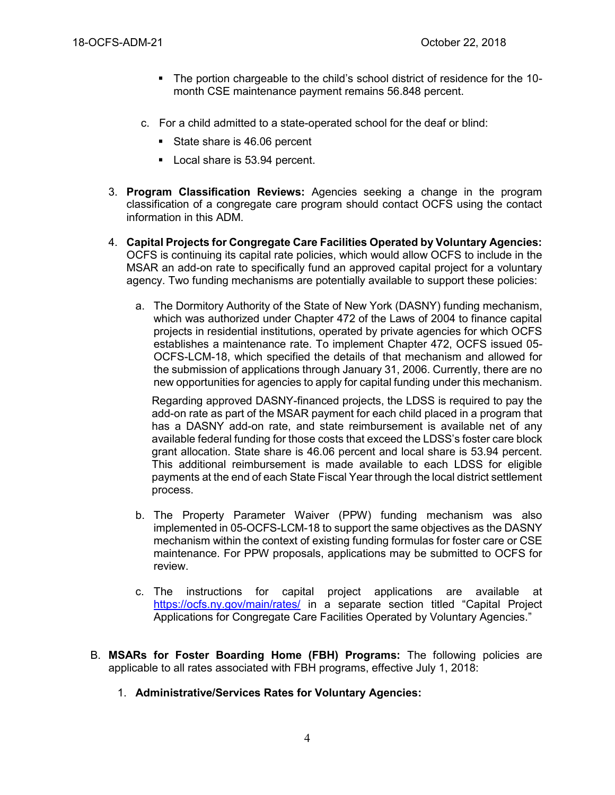- The portion chargeable to the child's school district of residence for the 10 month CSE maintenance payment remains 56.848 percent.
- c. For a child admitted to a state-operated school for the deaf or blind:
	- State share is 46.06 percent
	- Local share is 53.94 percent.
- 3. **Program Classification Reviews:** Agencies seeking a change in the program classification of a congregate care program should contact OCFS using the contact information in this ADM.
- 4. **Capital Projects for Congregate Care Facilities Operated by Voluntary Agencies:** OCFS is continuing its capital rate policies, which would allow OCFS to include in the MSAR an add-on rate to specifically fund an approved capital project for a voluntary agency. Two funding mechanisms are potentially available to support these policies:
	- a. The Dormitory Authority of the State of New York (DASNY) funding mechanism, which was authorized under Chapter 472 of the Laws of 2004 to finance capital projects in residential institutions, operated by private agencies for which OCFS establishes a maintenance rate. To implement Chapter 472, OCFS issued 05- OCFS-LCM-18, which specified the details of that mechanism and allowed for the submission of applications through January 31, 2006. Currently, there are no new opportunities for agencies to apply for capital funding under this mechanism.

Regarding approved DASNY-financed projects, the LDSS is required to pay the add-on rate as part of the MSAR payment for each child placed in a program that has a DASNY add-on rate, and state reimbursement is available net of any available federal funding for those costs that exceed the LDSS's foster care block grant allocation. State share is 46.06 percent and local share is 53.94 percent. This additional reimbursement is made available to each LDSS for eligible payments at the end of each State Fiscal Year through the local district settlement process.

- b. The Property Parameter Waiver (PPW) funding mechanism was also implemented in 05-OCFS-LCM-18 to support the same objectives as the DASNY mechanism within the context of existing funding formulas for foster care or CSE maintenance. For PPW proposals, applications may be submitted to OCFS for review.
- c. The instructions for capital project applications are available at <https://ocfs.ny.gov/main/rates/> in a separate section titled "Capital Project Applications for Congregate Care Facilities Operated by Voluntary Agencies."
- B. **MSARs for Foster Boarding Home (FBH) Programs:** The following policies are applicable to all rates associated with FBH programs, effective July 1, 2018:
	- 1. **Administrative/Services Rates for Voluntary Agencies:**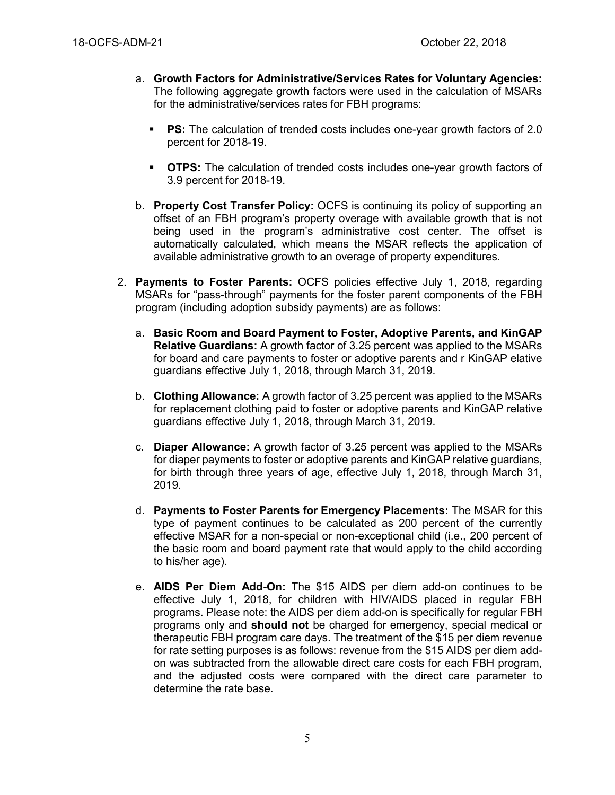- a. **Growth Factors for Administrative/Services Rates for Voluntary Agencies:**  The following aggregate growth factors were used in the calculation of MSARs for the administrative/services rates for FBH programs:
	- **PS:** The calculation of trended costs includes one-year growth factors of 2.0 percent for 2018-19.
	- **OTPS:** The calculation of trended costs includes one-year growth factors of 3.9 percent for 2018-19.
- b. **Property Cost Transfer Policy:** OCFS is continuing its policy of supporting an offset of an FBH program's property overage with available growth that is not being used in the program's administrative cost center. The offset is automatically calculated, which means the MSAR reflects the application of available administrative growth to an overage of property expenditures.
- 2. **Payments to Foster Parents:** OCFS policies effective July 1, 2018, regarding MSARs for "pass-through" payments for the foster parent components of the FBH program (including adoption subsidy payments) are as follows:
	- a. **Basic Room and Board Payment to Foster, Adoptive Parents, and KinGAP Relative Guardians:** A growth factor of 3.25 percent was applied to the MSARs for board and care payments to foster or adoptive parents and r KinGAP elative guardians effective July 1, 2018, through March 31, 2019.
	- b. **Clothing Allowance:** A growth factor of 3.25 percent was applied to the MSARs for replacement clothing paid to foster or adoptive parents and KinGAP relative guardians effective July 1, 2018, through March 31, 2019.
	- c. **Diaper Allowance:** A growth factor of 3.25 percent was applied to the MSARs for diaper payments to foster or adoptive parents and KinGAP relative guardians, for birth through three years of age, effective July 1, 2018, through March 31, 2019.
	- d. **Payments to Foster Parents for Emergency Placements:** The MSAR for this type of payment continues to be calculated as 200 percent of the currently effective MSAR for a non-special or non-exceptional child (i.e., 200 percent of the basic room and board payment rate that would apply to the child according to his/her age).
	- e. **AIDS Per Diem Add-On:** The \$15 AIDS per diem add-on continues to be effective July 1, 2018, for children with HIV/AIDS placed in regular FBH programs. Please note: the AIDS per diem add-on is specifically for regular FBH programs only and **should not** be charged for emergency, special medical or therapeutic FBH program care days. The treatment of the \$15 per diem revenue for rate setting purposes is as follows: revenue from the \$15 AIDS per diem addon was subtracted from the allowable direct care costs for each FBH program, and the adjusted costs were compared with the direct care parameter to determine the rate base.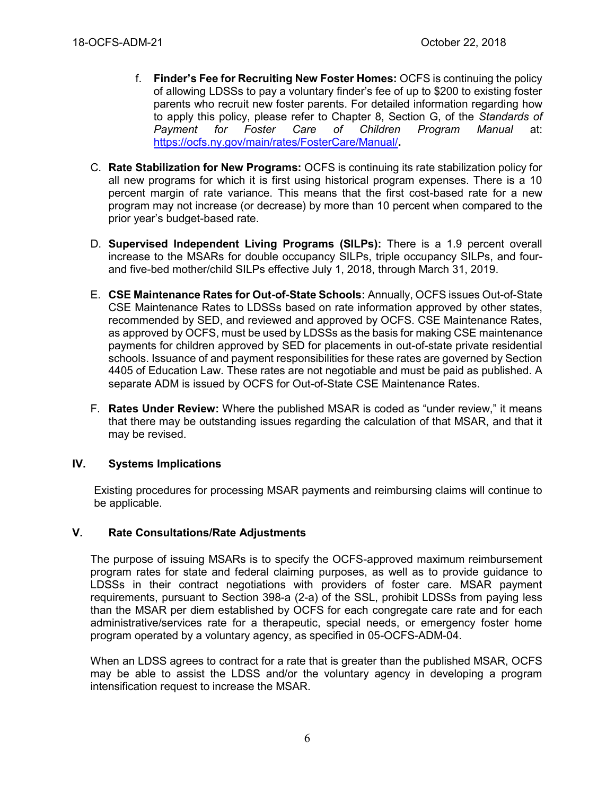- f. **Finder's Fee for Recruiting New Foster Homes:** OCFS is continuing the policy of allowing LDSSs to pay a voluntary finder's fee of up to \$200 to existing foster parents who recruit new foster parents. For detailed information regarding how to apply this policy, please refer to Chapter 8, Section G, of the *Standards of Payment for Foster Care of Children Program Manual* at: <https://ocfs.ny.gov/main/rates/FosterCare/Manual/>**.**
- C. **Rate Stabilization for New Programs:** OCFS is continuing its rate stabilization policy for all new programs for which it is first using historical program expenses. There is a 10 percent margin of rate variance. This means that the first cost-based rate for a new program may not increase (or decrease) by more than 10 percent when compared to the prior year's budget-based rate.
- D. **Supervised Independent Living Programs (SILPs):** There is a 1.9 percent overall increase to the MSARs for double occupancy SILPs, triple occupancy SILPs, and fourand five-bed mother/child SILPs effective July 1, 2018, through March 31, 2019.
- E. **CSE Maintenance Rates for Out-of-State Schools:** Annually, OCFS issues Out-of-State CSE Maintenance Rates to LDSSs based on rate information approved by other states, recommended by SED, and reviewed and approved by OCFS. CSE Maintenance Rates, as approved by OCFS, must be used by LDSSs as the basis for making CSE maintenance payments for children approved by SED for placements in out-of-state private residential schools. Issuance of and payment responsibilities for these rates are governed by Section 4405 of Education Law. These rates are not negotiable and must be paid as published. A separate ADM is issued by OCFS for Out-of-State CSE Maintenance Rates.
- F. **Rates Under Review:** Where the published MSAR is coded as "under review," it means that there may be outstanding issues regarding the calculation of that MSAR, and that it may be revised.

# **IV. Systems Implications**

Existing procedures for processing MSAR payments and reimbursing claims will continue to be applicable.

#### **V. Rate Consultations/Rate Adjustments**

The purpose of issuing MSARs is to specify the OCFS-approved maximum reimbursement program rates for state and federal claiming purposes, as well as to provide guidance to LDSSs in their contract negotiations with providers of foster care. MSAR payment requirements, pursuant to Section 398-a (2-a) of the SSL, prohibit LDSSs from paying less than the MSAR per diem established by OCFS for each congregate care rate and for each administrative/services rate for a therapeutic, special needs, or emergency foster home program operated by a voluntary agency, as specified in 05-OCFS-ADM-04.

When an LDSS agrees to contract for a rate that is greater than the published MSAR, OCFS may be able to assist the LDSS and/or the voluntary agency in developing a program intensification request to increase the MSAR.